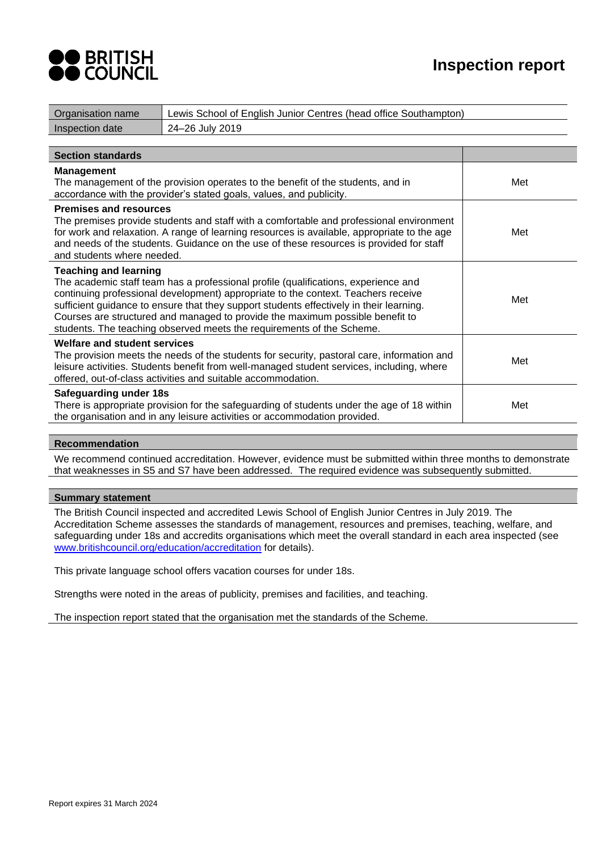

| Organisation name                                                                                                                                                                                                                                                                                                                                                                                                                                            | Lewis School of English Junior Centres (head office Southampton)                                                                                                                                                                                                                  |     |
|--------------------------------------------------------------------------------------------------------------------------------------------------------------------------------------------------------------------------------------------------------------------------------------------------------------------------------------------------------------------------------------------------------------------------------------------------------------|-----------------------------------------------------------------------------------------------------------------------------------------------------------------------------------------------------------------------------------------------------------------------------------|-----|
| Inspection date                                                                                                                                                                                                                                                                                                                                                                                                                                              | 24-26 July 2019                                                                                                                                                                                                                                                                   |     |
|                                                                                                                                                                                                                                                                                                                                                                                                                                                              |                                                                                                                                                                                                                                                                                   |     |
| <b>Section standards</b>                                                                                                                                                                                                                                                                                                                                                                                                                                     |                                                                                                                                                                                                                                                                                   |     |
| <b>Management</b>                                                                                                                                                                                                                                                                                                                                                                                                                                            | The management of the provision operates to the benefit of the students, and in<br>accordance with the provider's stated goals, values, and publicity.                                                                                                                            | Met |
| <b>Premises and resources</b><br>and students where needed.                                                                                                                                                                                                                                                                                                                                                                                                  | The premises provide students and staff with a comfortable and professional environment<br>for work and relaxation. A range of learning resources is available, appropriate to the age<br>and needs of the students. Guidance on the use of these resources is provided for staff | Met |
| <b>Teaching and learning</b><br>The academic staff team has a professional profile (qualifications, experience and<br>continuing professional development) appropriate to the context. Teachers receive<br>sufficient guidance to ensure that they support students effectively in their learning.<br>Courses are structured and managed to provide the maximum possible benefit to<br>students. The teaching observed meets the requirements of the Scheme. |                                                                                                                                                                                                                                                                                   | Met |
| <b>Welfare and student services</b>                                                                                                                                                                                                                                                                                                                                                                                                                          | The provision meets the needs of the students for security, pastoral care, information and<br>leisure activities. Students benefit from well-managed student services, including, where<br>offered, out-of-class activities and suitable accommodation.                           | Met |
| Safeguarding under 18s<br>There is appropriate provision for the safeguarding of students under the age of 18 within<br>the organisation and in any leisure activities or accommodation provided.                                                                                                                                                                                                                                                            |                                                                                                                                                                                                                                                                                   | Met |

#### **Recommendation**

We recommend continued accreditation. However, evidence must be submitted within three months to demonstrate that weaknesses in S5 and S7 have been addressed. The required evidence was subsequently submitted.

#### **Summary statement**

The British Council inspected and accredited Lewis School of English Junior Centres in July 2019. The Accreditation Scheme assesses the standards of management, resources and premises, teaching, welfare, and safeguarding under 18s and accredits organisations which meet the overall standard in each area inspected (see [www.britishcouncil.org/education/accreditation](http://www.britishcouncil.org/education/accreditation) for details).

This private language school offers vacation courses for under 18s.

Strengths were noted in the areas of publicity, premises and facilities, and teaching.

The inspection report stated that the organisation met the standards of the Scheme.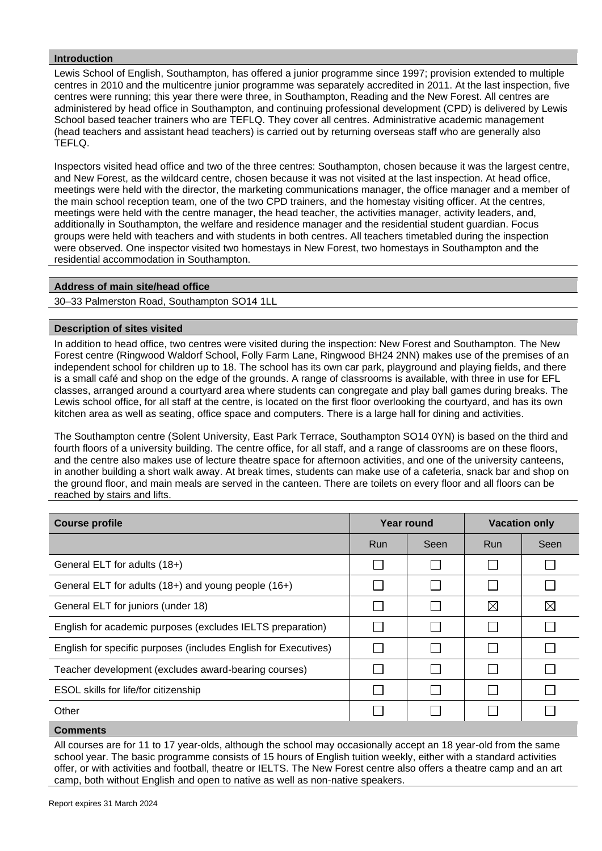## **Introduction**

Lewis School of English, Southampton, has offered a junior programme since 1997; provision extended to multiple centres in 2010 and the multicentre junior programme was separately accredited in 2011. At the last inspection, five centres were running; this year there were three, in Southampton, Reading and the New Forest. All centres are administered by head office in Southampton, and continuing professional development (CPD) is delivered by Lewis School based teacher trainers who are TEFLQ. They cover all centres. Administrative academic management (head teachers and assistant head teachers) is carried out by returning overseas staff who are generally also TEFLQ.

Inspectors visited head office and two of the three centres: Southampton, chosen because it was the largest centre, and New Forest, as the wildcard centre, chosen because it was not visited at the last inspection. At head office, meetings were held with the director, the marketing communications manager, the office manager and a member of the main school reception team, one of the two CPD trainers, and the homestay visiting officer. At the centres, meetings were held with the centre manager, the head teacher, the activities manager, activity leaders, and, additionally in Southampton, the welfare and residence manager and the residential student guardian. Focus groups were held with teachers and with students in both centres. All teachers timetabled during the inspection were observed. One inspector visited two homestays in New Forest, two homestays in Southampton and the residential accommodation in Southampton.

### **Address of main site/head office**

30–33 Palmerston Road, Southampton SO14 1LL

#### **Description of sites visited**

In addition to head office, two centres were visited during the inspection: New Forest and Southampton. The New Forest centre (Ringwood Waldorf School, Folly Farm Lane, Ringwood BH24 2NN) makes use of the premises of an independent school for children up to 18. The school has its own car park, playground and playing fields, and there is a small café and shop on the edge of the grounds. A range of classrooms is available, with three in use for EFL classes, arranged around a courtyard area where students can congregate and play ball games during breaks. The Lewis school office, for all staff at the centre, is located on the first floor overlooking the courtyard, and has its own kitchen area as well as seating, office space and computers. There is a large hall for dining and activities.

The Southampton centre (Solent University, East Park Terrace, Southampton SO14 0YN) is based on the third and fourth floors of a university building. The centre office, for all staff, and a range of classrooms are on these floors, and the centre also makes use of lecture theatre space for afternoon activities, and one of the university canteens, in another building a short walk away. At break times, students can make use of a cafeteria, snack bar and shop on the ground floor, and main meals are served in the canteen. There are toilets on every floor and all floors can be reached by stairs and lifts.

| <b>Course profile</b>                                           | Year round |      | <b>Vacation only</b> |             |
|-----------------------------------------------------------------|------------|------|----------------------|-------------|
|                                                                 | Run        | Seen | Run                  | Seen        |
| General ELT for adults (18+)                                    |            |      |                      |             |
| General ELT for adults (18+) and young people (16+)             |            |      |                      |             |
| General ELT for juniors (under 18)                              |            |      | $\boxtimes$          | $\boxtimes$ |
| English for academic purposes (excludes IELTS preparation)      |            |      |                      |             |
| English for specific purposes (includes English for Executives) |            |      |                      |             |
| Teacher development (excludes award-bearing courses)            |            |      |                      |             |
| ESOL skills for life/for citizenship                            |            |      |                      |             |
| Other                                                           |            |      |                      |             |
| $P_1$ and the angles                                            |            |      |                      |             |

#### **Comments**

All courses are for 11 to 17 year-olds, although the school may occasionally accept an 18 year-old from the same school year. The basic programme consists of 15 hours of English tuition weekly, either with a standard activities offer, or with activities and football, theatre or IELTS. The New Forest centre also offers a theatre camp and an art camp, both without English and open to native as well as non-native speakers.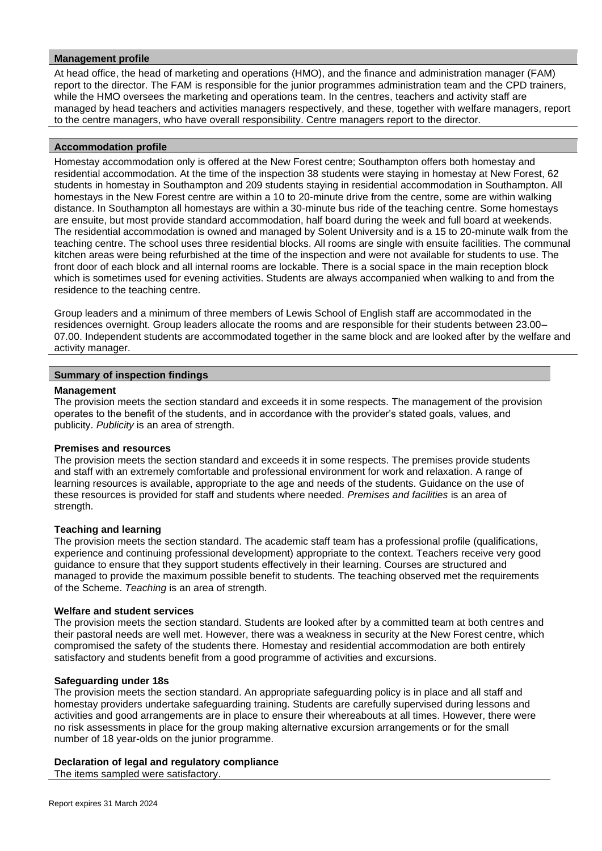## **Management profile**

At head office, the head of marketing and operations (HMO), and the finance and administration manager (FAM) report to the director. The FAM is responsible for the junior programmes administration team and the CPD trainers, while the HMO oversees the marketing and operations team. In the centres, teachers and activity staff are managed by head teachers and activities managers respectively, and these, together with welfare managers, report to the centre managers, who have overall responsibility. Centre managers report to the director.

#### **Accommodation profile**

Homestay accommodation only is offered at the New Forest centre; Southampton offers both homestay and residential accommodation. At the time of the inspection 38 students were staying in homestay at New Forest, 62 students in homestay in Southampton and 209 students staying in residential accommodation in Southampton. All homestays in the New Forest centre are within a 10 to 20-minute drive from the centre, some are within walking distance. In Southampton all homestays are within a 30-minute bus ride of the teaching centre. Some homestays are ensuite, but most provide standard accommodation, half board during the week and full board at weekends. The residential accommodation is owned and managed by Solent University and is a 15 to 20-minute walk from the teaching centre. The school uses three residential blocks. All rooms are single with ensuite facilities. The communal kitchen areas were being refurbished at the time of the inspection and were not available for students to use. The front door of each block and all internal rooms are lockable. There is a social space in the main reception block which is sometimes used for evening activities. Students are always accompanied when walking to and from the residence to the teaching centre.

Group leaders and a minimum of three members of Lewis School of English staff are accommodated in the residences overnight. Group leaders allocate the rooms and are responsible for their students between 23.00– 07.00. Independent students are accommodated together in the same block and are looked after by the welfare and activity manager.

#### **Summary of inspection findings**

#### **Management**

The provision meets the section standard and exceeds it in some respects. The management of the provision operates to the benefit of the students, and in accordance with the provider's stated goals, values, and publicity. *Publicity* is an area of strength.

#### **Premises and resources**

The provision meets the section standard and exceeds it in some respects. The premises provide students and staff with an extremely comfortable and professional environment for work and relaxation. A range of learning resources is available, appropriate to the age and needs of the students. Guidance on the use of these resources is provided for staff and students where needed. *Premises and facilities* is an area of strength.

#### **Teaching and learning**

The provision meets the section standard. The academic staff team has a professional profile (qualifications, experience and continuing professional development) appropriate to the context. Teachers receive very good guidance to ensure that they support students effectively in their learning. Courses are structured and managed to provide the maximum possible benefit to students. The teaching observed met the requirements of the Scheme. *Teaching* is an area of strength.

#### **Welfare and student services**

The provision meets the section standard. Students are looked after by a committed team at both centres and their pastoral needs are well met. However, there was a weakness in security at the New Forest centre, which compromised the safety of the students there. Homestay and residential accommodation are both entirely satisfactory and students benefit from a good programme of activities and excursions.

#### **Safeguarding under 18s**

The provision meets the section standard. An appropriate safeguarding policy is in place and all staff and homestay providers undertake safeguarding training. Students are carefully supervised during lessons and activities and good arrangements are in place to ensure their whereabouts at all times. However, there were no risk assessments in place for the group making alternative excursion arrangements or for the small number of 18 year-olds on the junior programme.

#### **Declaration of legal and regulatory compliance**

The items sampled were satisfactory.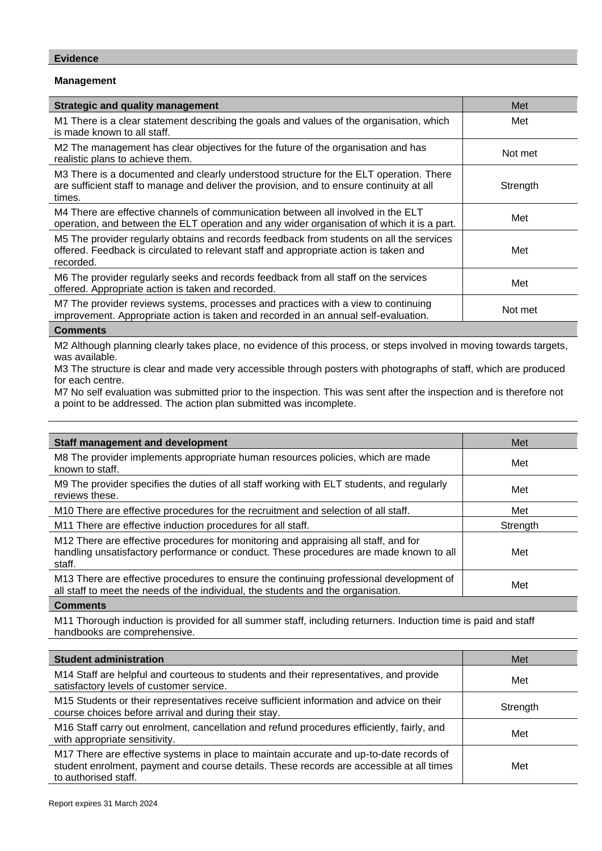### **Evidence**

## **Management**

| <b>Strategic and quality management</b>                                                                                                                                                        | Met      |
|------------------------------------------------------------------------------------------------------------------------------------------------------------------------------------------------|----------|
| M1 There is a clear statement describing the goals and values of the organisation, which<br>is made known to all staff.                                                                        | Met      |
| M2 The management has clear objectives for the future of the organisation and has<br>realistic plans to achieve them.                                                                          | Not met  |
| M3 There is a documented and clearly understood structure for the ELT operation. There<br>are sufficient staff to manage and deliver the provision, and to ensure continuity at all<br>times.  | Strength |
| M4 There are effective channels of communication between all involved in the ELT<br>operation, and between the ELT operation and any wider organisation of which it is a part.                 | Met      |
| M5 The provider regularly obtains and records feedback from students on all the services<br>offered. Feedback is circulated to relevant staff and appropriate action is taken and<br>recorded. | Met      |
| M6 The provider regularly seeks and records feedback from all staff on the services<br>offered. Appropriate action is taken and recorded.                                                      | Met      |
| M7 The provider reviews systems, processes and practices with a view to continuing<br>improvement. Appropriate action is taken and recorded in an annual self-evaluation.                      | Not met  |
| Commonte                                                                                                                                                                                       |          |

#### **Comments**

M2 Although planning clearly takes place, no evidence of this process, or steps involved in moving towards targets, was available.

M3 The structure is clear and made very accessible through posters with photographs of staff, which are produced for each centre.

M7 No self evaluation was submitted prior to the inspection. This was sent after the inspection and is therefore not a point to be addressed. The action plan submitted was incomplete.

| <b>Staff management and development</b>                                                                                                                                                 | Met      |
|-----------------------------------------------------------------------------------------------------------------------------------------------------------------------------------------|----------|
| M8 The provider implements appropriate human resources policies, which are made<br>known to staff.                                                                                      | Met      |
| M9 The provider specifies the duties of all staff working with ELT students, and regularly<br>reviews these.                                                                            | Met      |
| M10 There are effective procedures for the recruitment and selection of all staff.                                                                                                      | Met      |
| M11 There are effective induction procedures for all staff.                                                                                                                             | Strength |
| M12 There are effective procedures for monitoring and appraising all staff, and for<br>handling unsatisfactory performance or conduct. These procedures are made known to all<br>staff. | Met      |
| M13 There are effective procedures to ensure the continuing professional development of<br>all staff to meet the needs of the individual, the students and the organisation.            | Met      |

**Comments**

M11 Thorough induction is provided for all summer staff, including returners. Induction time is paid and staff handbooks are comprehensive.

| <b>Student administration</b>                                                                                                                                                                               | Met      |
|-------------------------------------------------------------------------------------------------------------------------------------------------------------------------------------------------------------|----------|
| M14 Staff are helpful and courteous to students and their representatives, and provide<br>satisfactory levels of customer service.                                                                          | Met      |
| M15 Students or their representatives receive sufficient information and advice on their<br>course choices before arrival and during their stay.                                                            | Strength |
| M16 Staff carry out enrolment, cancellation and refund procedures efficiently, fairly, and<br>with appropriate sensitivity.                                                                                 | Met      |
| M17 There are effective systems in place to maintain accurate and up-to-date records of<br>student enrolment, payment and course details. These records are accessible at all times<br>to authorised staff. | Met      |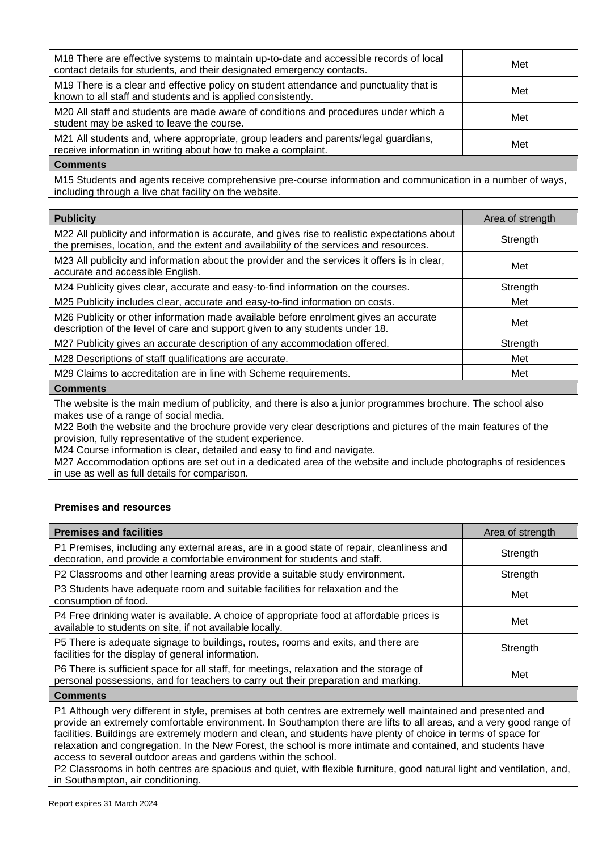| M18 There are effective systems to maintain up-to-date and accessible records of local<br>contact details for students, and their designated emergency contacts. | Met |
|------------------------------------------------------------------------------------------------------------------------------------------------------------------|-----|
| M19 There is a clear and effective policy on student attendance and punctuality that is<br>known to all staff and students and is applied consistently.          | Met |
| M20 All staff and students are made aware of conditions and procedures under which a<br>student may be asked to leave the course.                                | Met |
| M21 All students and, where appropriate, group leaders and parents/legal guardians,<br>receive information in writing about how to make a complaint.             | Met |
|                                                                                                                                                                  |     |

#### **Comments**

M15 Students and agents receive comprehensive pre-course information and communication in a number of ways, including through a live chat facility on the website.

| <b>Publicity</b>                                                                                                                                                                        | Area of strength |
|-----------------------------------------------------------------------------------------------------------------------------------------------------------------------------------------|------------------|
| M22 All publicity and information is accurate, and gives rise to realistic expectations about<br>the premises, location, and the extent and availability of the services and resources. | Strength         |
| M23 All publicity and information about the provider and the services it offers is in clear,<br>accurate and accessible English.                                                        | Met              |
| M24 Publicity gives clear, accurate and easy-to-find information on the courses.                                                                                                        | Strength         |
| M25 Publicity includes clear, accurate and easy-to-find information on costs.                                                                                                           | Met              |
| M26 Publicity or other information made available before enrolment gives an accurate<br>description of the level of care and support given to any students under 18.                    | Met              |
| M27 Publicity gives an accurate description of any accommodation offered.                                                                                                               | Strength         |
| M28 Descriptions of staff qualifications are accurate.                                                                                                                                  | Met              |
| M29 Claims to accreditation are in line with Scheme requirements.                                                                                                                       | Met              |
| Commante                                                                                                                                                                                |                  |

#### **Comments**

The website is the main medium of publicity, and there is also a junior programmes brochure. The school also makes use of a range of social media.

M22 Both the website and the brochure provide very clear descriptions and pictures of the main features of the provision, fully representative of the student experience.

M24 Course information is clear, detailed and easy to find and navigate.

M27 Accommodation options are set out in a dedicated area of the website and include photographs of residences in use as well as full details for comparison.

#### **Premises and resources**

| <b>Premises and facilities</b>                                                                                                                                                | Area of strength |
|-------------------------------------------------------------------------------------------------------------------------------------------------------------------------------|------------------|
| P1 Premises, including any external areas, are in a good state of repair, cleanliness and<br>decoration, and provide a comfortable environment for students and staff.        | Strength         |
| P2 Classrooms and other learning areas provide a suitable study environment.                                                                                                  | Strength         |
| P3 Students have adequate room and suitable facilities for relaxation and the<br>consumption of food.                                                                         | Met              |
| P4 Free drinking water is available. A choice of appropriate food at affordable prices is<br>available to students on site, if not available locally.                         | Met              |
| P5 There is adequate signage to buildings, routes, rooms and exits, and there are<br>facilities for the display of general information.                                       | Strength         |
| P6 There is sufficient space for all staff, for meetings, relaxation and the storage of<br>personal possessions, and for teachers to carry out their preparation and marking. | Met              |

**Comments**

P1 Although very different in style, premises at both centres are extremely well maintained and presented and provide an extremely comfortable environment. In Southampton there are lifts to all areas, and a very good range of facilities. Buildings are extremely modern and clean, and students have plenty of choice in terms of space for relaxation and congregation. In the New Forest, the school is more intimate and contained, and students have access to several outdoor areas and gardens within the school.

P2 Classrooms in both centres are spacious and quiet, with flexible furniture, good natural light and ventilation, and, in Southampton, air conditioning.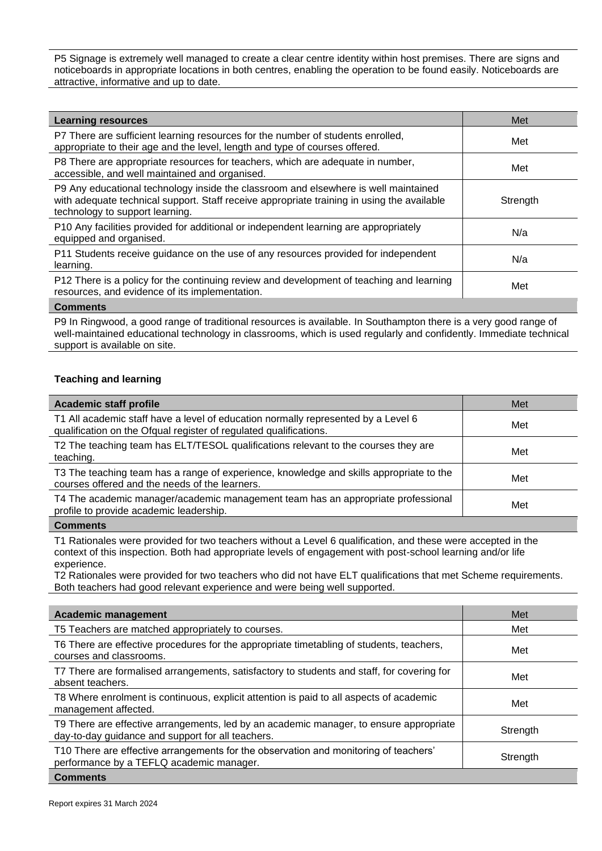P5 Signage is extremely well managed to create a clear centre identity within host premises. There are signs and noticeboards in appropriate locations in both centres, enabling the operation to be found easily. Noticeboards are attractive, informative and up to date.

| <b>Learning resources</b>                                                                                                                                                                                            | Met      |
|----------------------------------------------------------------------------------------------------------------------------------------------------------------------------------------------------------------------|----------|
| P7 There are sufficient learning resources for the number of students enrolled,<br>appropriate to their age and the level, length and type of courses offered.                                                       | Met      |
| P8 There are appropriate resources for teachers, which are adequate in number,<br>accessible, and well maintained and organised.                                                                                     | Met      |
| P9 Any educational technology inside the classroom and elsewhere is well maintained<br>with adequate technical support. Staff receive appropriate training in using the available<br>technology to support learning. | Strength |
| P10 Any facilities provided for additional or independent learning are appropriately<br>equipped and organised.                                                                                                      | N/a      |
| P11 Students receive guidance on the use of any resources provided for independent<br>learning.                                                                                                                      | N/a      |
| P12 There is a policy for the continuing review and development of teaching and learning<br>resources, and evidence of its implementation.                                                                           | Met      |
| <b>A</b> - --- --- - -- 1 -                                                                                                                                                                                          |          |

#### **Comments**

P9 In Ringwood, a good range of traditional resources is available. In Southampton there is a very good range of well-maintained educational technology in classrooms, which is used regularly and confidently. Immediate technical support is available on site.

### **Teaching and learning**

| Academic staff profile                                                                                                                                 | Met |
|--------------------------------------------------------------------------------------------------------------------------------------------------------|-----|
| T1 All academic staff have a level of education normally represented by a Level 6<br>qualification on the Ofqual register of regulated qualifications. | Met |
| T2 The teaching team has ELT/TESOL qualifications relevant to the courses they are<br>teaching.                                                        | Met |
| T3 The teaching team has a range of experience, knowledge and skills appropriate to the<br>courses offered and the needs of the learners.              | Met |
| T4 The academic manager/academic management team has an appropriate professional<br>profile to provide academic leadership.                            | Met |
| $n$ ammanta                                                                                                                                            |     |

#### **Comments**

T1 Rationales were provided for two teachers without a Level 6 qualification, and these were accepted in the context of this inspection. Both had appropriate levels of engagement with post-school learning and/or life experience.

T2 Rationales were provided for two teachers who did not have ELT qualifications that met Scheme requirements. Both teachers had good relevant experience and were being well supported.

| <b>Academic management</b>                                                                                                                  | Met      |
|---------------------------------------------------------------------------------------------------------------------------------------------|----------|
| T5 Teachers are matched appropriately to courses.                                                                                           | Met      |
| T6 There are effective procedures for the appropriate timetabling of students, teachers,<br>courses and classrooms.                         | Met      |
| T7 There are formalised arrangements, satisfactory to students and staff, for covering for<br>absent teachers.                              | Met      |
| T8 Where enrolment is continuous, explicit attention is paid to all aspects of academic<br>management affected.                             | Met      |
| T9 There are effective arrangements, led by an academic manager, to ensure appropriate<br>day-to-day guidance and support for all teachers. | Strength |
| T10 There are effective arrangements for the observation and monitoring of teachers'<br>performance by a TEFLQ academic manager.            | Strength |
| <b>Comments</b>                                                                                                                             |          |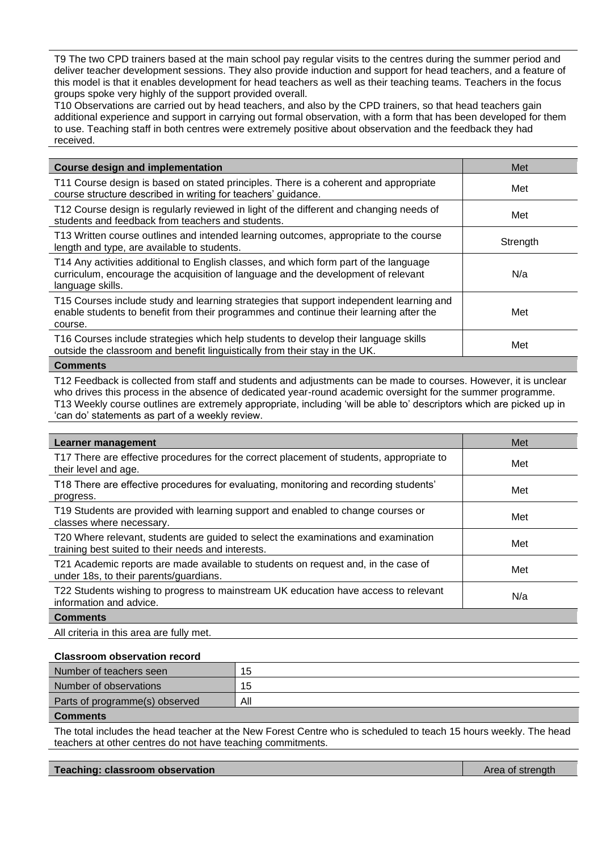T9 The two CPD trainers based at the main school pay regular visits to the centres during the summer period and deliver teacher development sessions. They also provide induction and support for head teachers, and a feature of this model is that it enables development for head teachers as well as their teaching teams. Teachers in the focus groups spoke very highly of the support provided overall.

T10 Observations are carried out by head teachers, and also by the CPD trainers, so that head teachers gain additional experience and support in carrying out formal observation, with a form that has been developed for them to use. Teaching staff in both centres were extremely positive about observation and the feedback they had received.

| <b>Course design and implementation</b>                                                                                                                                                        | Met      |
|------------------------------------------------------------------------------------------------------------------------------------------------------------------------------------------------|----------|
| T11 Course design is based on stated principles. There is a coherent and appropriate<br>course structure described in writing for teachers' guidance.                                          | Met      |
| T12 Course design is regularly reviewed in light of the different and changing needs of<br>students and feedback from teachers and students.                                                   | Met      |
| T13 Written course outlines and intended learning outcomes, appropriate to the course<br>length and type, are available to students.                                                           | Strength |
| T14 Any activities additional to English classes, and which form part of the language<br>curriculum, encourage the acquisition of language and the development of relevant<br>language skills. | N/a      |
| T15 Courses include study and learning strategies that support independent learning and<br>enable students to benefit from their programmes and continue their learning after the<br>course.   | Met      |
| T16 Courses include strategies which help students to develop their language skills<br>outside the classroom and benefit linguistically from their stay in the UK.                             | Met      |
| Comments                                                                                                                                                                                       |          |

T12 Feedback is collected from staff and students and adjustments can be made to courses. However, it is unclear who drives this process in the absence of dedicated year-round academic oversight for the summer programme. T13 Weekly course outlines are extremely appropriate, including 'will be able to' descriptors which are picked up in 'can do' statements as part of a weekly review.

| Learner management                                                                                                                       | Met |
|------------------------------------------------------------------------------------------------------------------------------------------|-----|
| T17 There are effective procedures for the correct placement of students, appropriate to<br>their level and age.                         | Met |
| T18 There are effective procedures for evaluating, monitoring and recording students'<br>progress.                                       | Met |
| T19 Students are provided with learning support and enabled to change courses or<br>classes where necessary.                             | Met |
| T20 Where relevant, students are guided to select the examinations and examination<br>training best suited to their needs and interests. | Met |
| T21 Academic reports are made available to students on request and, in the case of<br>under 18s, to their parents/guardians.             | Met |
| T22 Students wishing to progress to mainstream UK education have access to relevant<br>information and advice.                           | N/a |
| <b>Comments</b>                                                                                                                          |     |

All criteria in this area are fully met.

#### **Classroom observation record**

| Number of teachers seen        | 15  |
|--------------------------------|-----|
| Number of observations         | 15  |
| Parts of programme(s) observed | All |
| Cammanta                       |     |

**Comments**

The total includes the head teacher at the New Forest Centre who is scheduled to teach 15 hours weekly. The head teachers at other centres do not have teaching commitments.

**Teaching: classroom observation** Area of strength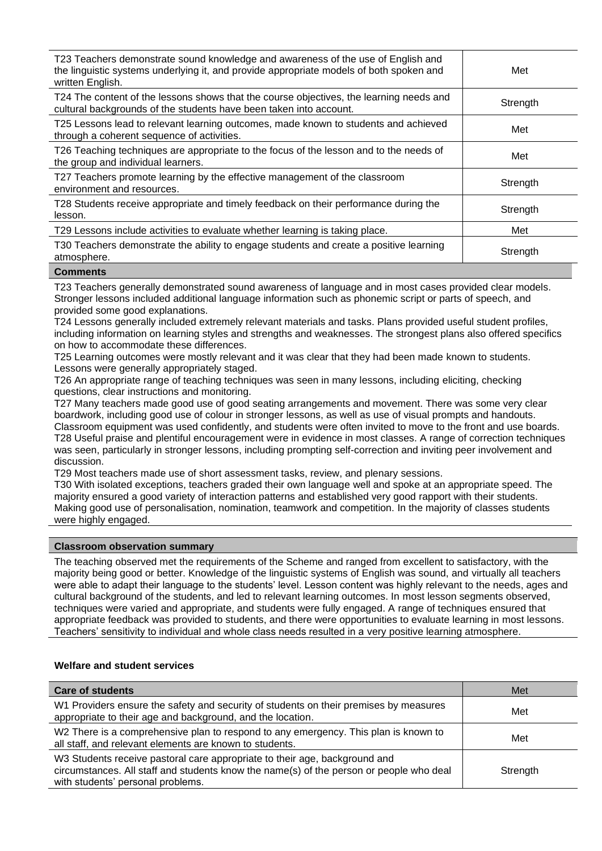| T23 Teachers demonstrate sound knowledge and awareness of the use of English and<br>the linguistic systems underlying it, and provide appropriate models of both spoken and<br>written English. | Met      |
|-------------------------------------------------------------------------------------------------------------------------------------------------------------------------------------------------|----------|
| T24 The content of the lessons shows that the course objectives, the learning needs and<br>cultural backgrounds of the students have been taken into account.                                   | Strength |
| T25 Lessons lead to relevant learning outcomes, made known to students and achieved<br>through a coherent sequence of activities.                                                               | Met      |
| T26 Teaching techniques are appropriate to the focus of the lesson and to the needs of<br>the group and individual learners.                                                                    | Met      |
| T27 Teachers promote learning by the effective management of the classroom<br>environment and resources.                                                                                        | Strength |
| T28 Students receive appropriate and timely feedback on their performance during the<br>lesson.                                                                                                 | Strength |
| T29 Lessons include activities to evaluate whether learning is taking place.                                                                                                                    | Met      |
| T30 Teachers demonstrate the ability to engage students and create a positive learning<br>atmosphere.                                                                                           | Strength |

#### **Comments**

T23 Teachers generally demonstrated sound awareness of language and in most cases provided clear models. Stronger lessons included additional language information such as phonemic script or parts of speech, and provided some good explanations.

T24 Lessons generally included extremely relevant materials and tasks. Plans provided useful student profiles, including information on learning styles and strengths and weaknesses. The strongest plans also offered specifics on how to accommodate these differences.

T25 Learning outcomes were mostly relevant and it was clear that they had been made known to students. Lessons were generally appropriately staged.

T26 An appropriate range of teaching techniques was seen in many lessons, including eliciting, checking questions, clear instructions and monitoring.

T27 Many teachers made good use of good seating arrangements and movement. There was some very clear boardwork, including good use of colour in stronger lessons, as well as use of visual prompts and handouts. Classroom equipment was used confidently, and students were often invited to move to the front and use boards. T28 Useful praise and plentiful encouragement were in evidence in most classes. A range of correction techniques was seen, particularly in stronger lessons, including prompting self-correction and inviting peer involvement and discussion.

T29 Most teachers made use of short assessment tasks, review, and plenary sessions.

T30 With isolated exceptions, teachers graded their own language well and spoke at an appropriate speed. The majority ensured a good variety of interaction patterns and established very good rapport with their students. Making good use of personalisation, nomination, teamwork and competition. In the majority of classes students were highly engaged.

#### **Classroom observation summary**

The teaching observed met the requirements of the Scheme and ranged from excellent to satisfactory, with the majority being good or better. Knowledge of the linguistic systems of English was sound, and virtually all teachers were able to adapt their language to the students' level. Lesson content was highly relevant to the needs, ages and cultural background of the students, and led to relevant learning outcomes. In most lesson segments observed, techniques were varied and appropriate, and students were fully engaged. A range of techniques ensured that appropriate feedback was provided to students, and there were opportunities to evaluate learning in most lessons. Teachers' sensitivity to individual and whole class needs resulted in a very positive learning atmosphere.

#### **Welfare and student services**

| <b>Care of students</b>                                                                                                                                                                                    | Met      |
|------------------------------------------------------------------------------------------------------------------------------------------------------------------------------------------------------------|----------|
| W1 Providers ensure the safety and security of students on their premises by measures<br>appropriate to their age and background, and the location.                                                        | Met      |
| W2 There is a comprehensive plan to respond to any emergency. This plan is known to<br>all staff, and relevant elements are known to students.                                                             | Met      |
| W3 Students receive pastoral care appropriate to their age, background and<br>circumstances. All staff and students know the name(s) of the person or people who deal<br>with students' personal problems. | Strength |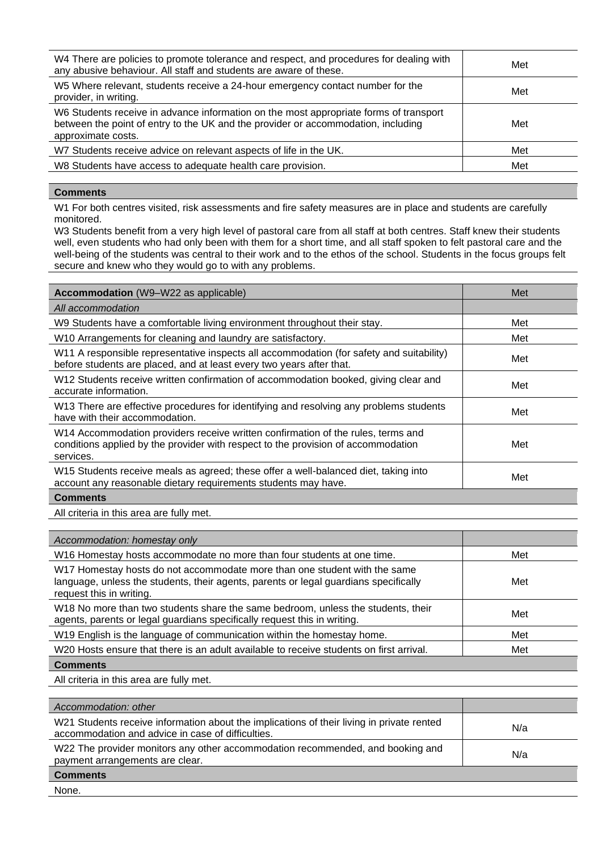| W4 There are policies to promote tolerance and respect, and procedures for dealing with<br>any abusive behaviour. All staff and students are aware of these.                                     | Met |
|--------------------------------------------------------------------------------------------------------------------------------------------------------------------------------------------------|-----|
| W5 Where relevant, students receive a 24-hour emergency contact number for the<br>provider, in writing.                                                                                          | Met |
| W6 Students receive in advance information on the most appropriate forms of transport<br>between the point of entry to the UK and the provider or accommodation, including<br>approximate costs. | Met |
| W7 Students receive advice on relevant aspects of life in the UK.                                                                                                                                | Met |
| W8 Students have access to adequate health care provision.                                                                                                                                       | Met |
|                                                                                                                                                                                                  |     |

## **Comments**

W1 For both centres visited, risk assessments and fire safety measures are in place and students are carefully monitored.

W3 Students benefit from a very high level of pastoral care from all staff at both centres. Staff knew their students well, even students who had only been with them for a short time, and all staff spoken to felt pastoral care and the well-being of the students was central to their work and to the ethos of the school. Students in the focus groups felt secure and knew who they would go to with any problems.

| <b>Accommodation</b> (W9–W22 as applicable)                                                                                                                                        | Met |
|------------------------------------------------------------------------------------------------------------------------------------------------------------------------------------|-----|
| All accommodation                                                                                                                                                                  |     |
| W9 Students have a comfortable living environment throughout their stay.                                                                                                           | Met |
| W10 Arrangements for cleaning and laundry are satisfactory.                                                                                                                        | Met |
| W11 A responsible representative inspects all accommodation (for safety and suitability)<br>before students are placed, and at least every two years after that.                   | Met |
| W12 Students receive written confirmation of accommodation booked, giving clear and<br>accurate information.                                                                       | Met |
| W13 There are effective procedures for identifying and resolving any problems students<br>have with their accommodation.                                                           | Met |
| W14 Accommodation providers receive written confirmation of the rules, terms and<br>conditions applied by the provider with respect to the provision of accommodation<br>services. | Met |
| W15 Students receive meals as agreed; these offer a well-balanced diet, taking into<br>account any reasonable dietary requirements students may have.                              | Met |
| <b>Comments</b>                                                                                                                                                                    |     |

All criteria in this area are fully met.

| Accommodation: homestay only                                                                                                                                                                  |     |
|-----------------------------------------------------------------------------------------------------------------------------------------------------------------------------------------------|-----|
| W16 Homestay hosts accommodate no more than four students at one time.                                                                                                                        | Met |
| W17 Homestay hosts do not accommodate more than one student with the same<br>language, unless the students, their agents, parents or legal guardians specifically<br>request this in writing. | Met |
| W18 No more than two students share the same bedroom, unless the students, their<br>agents, parents or legal guardians specifically request this in writing.                                  | Met |
| W19 English is the language of communication within the homestay home.                                                                                                                        | Met |
| W20 Hosts ensure that there is an adult available to receive students on first arrival.                                                                                                       | Met |
| <b>Comments</b>                                                                                                                                                                               |     |
|                                                                                                                                                                                               |     |

All criteria in this area are fully met.

| Accommodation: other                                                                                                                           |     |
|------------------------------------------------------------------------------------------------------------------------------------------------|-----|
| W21 Students receive information about the implications of their living in private rented<br>accommodation and advice in case of difficulties. | N/a |
| W22 The provider monitors any other accommodation recommended, and booking and<br>payment arrangements are clear.                              | N/a |
| <b>Comments</b>                                                                                                                                |     |

None.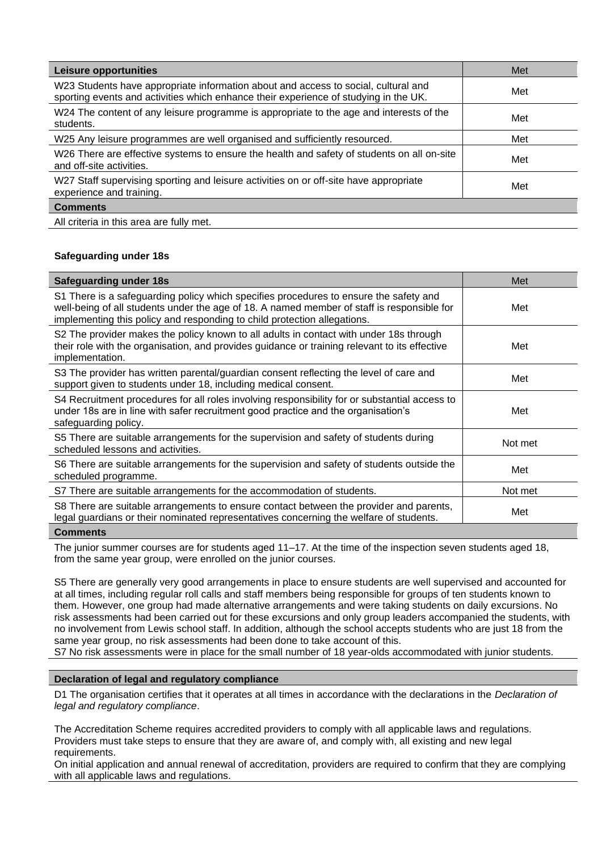| <b>Leisure opportunities</b>                                                                                                                                               | Met |
|----------------------------------------------------------------------------------------------------------------------------------------------------------------------------|-----|
| W23 Students have appropriate information about and access to social, cultural and<br>sporting events and activities which enhance their experience of studying in the UK. | Met |
| W24 The content of any leisure programme is appropriate to the age and interests of the<br>students.                                                                       | Met |
| W25 Any leisure programmes are well organised and sufficiently resourced.                                                                                                  | Met |
| W26 There are effective systems to ensure the health and safety of students on all on-site<br>and off-site activities.                                                     | Met |
| W27 Staff supervising sporting and leisure activities on or off-site have appropriate<br>experience and training.                                                          | Met |
| <b>Comments</b>                                                                                                                                                            |     |
| All criteria in this area are fully met.                                                                                                                                   |     |

## **Safeguarding under 18s**

| <b>Safeguarding under 18s</b>                                                                                                                                                                                                                                   | Met     |
|-----------------------------------------------------------------------------------------------------------------------------------------------------------------------------------------------------------------------------------------------------------------|---------|
| S1 There is a safeguarding policy which specifies procedures to ensure the safety and<br>well-being of all students under the age of 18. A named member of staff is responsible for<br>implementing this policy and responding to child protection allegations. | Met     |
| S2 The provider makes the policy known to all adults in contact with under 18s through<br>their role with the organisation, and provides guidance or training relevant to its effective<br>implementation.                                                      | Met     |
| S3 The provider has written parental/guardian consent reflecting the level of care and<br>support given to students under 18, including medical consent.                                                                                                        | Met     |
| S4 Recruitment procedures for all roles involving responsibility for or substantial access to<br>under 18s are in line with safer recruitment good practice and the organisation's<br>safeguarding policy.                                                      | Met     |
| S5 There are suitable arrangements for the supervision and safety of students during<br>scheduled lessons and activities.                                                                                                                                       | Not met |
| S6 There are suitable arrangements for the supervision and safety of students outside the<br>scheduled programme.                                                                                                                                               | Met     |
| S7 There are suitable arrangements for the accommodation of students.                                                                                                                                                                                           | Not met |
| S8 There are suitable arrangements to ensure contact between the provider and parents,<br>legal guardians or their nominated representatives concerning the welfare of students.                                                                                | Met     |
|                                                                                                                                                                                                                                                                 |         |

#### **Comments**

The junior summer courses are for students aged 11–17. At the time of the inspection seven students aged 18, from the same year group, were enrolled on the junior courses.

S5 There are generally very good arrangements in place to ensure students are well supervised and accounted for at all times, including regular roll calls and staff members being responsible for groups of ten students known to them. However, one group had made alternative arrangements and were taking students on daily excursions. No risk assessments had been carried out for these excursions and only group leaders accompanied the students, with no involvement from Lewis school staff. In addition, although the school accepts students who are just 18 from the same year group, no risk assessments had been done to take account of this.

S7 No risk assessments were in place for the small number of 18 year-olds accommodated with junior students.

#### **Declaration of legal and regulatory compliance**

D1 The organisation certifies that it operates at all times in accordance with the declarations in the *Declaration of legal and regulatory compliance*.

The Accreditation Scheme requires accredited providers to comply with all applicable laws and regulations. Providers must take steps to ensure that they are aware of, and comply with, all existing and new legal requirements.

On initial application and annual renewal of accreditation, providers are required to confirm that they are complying with all applicable laws and regulations.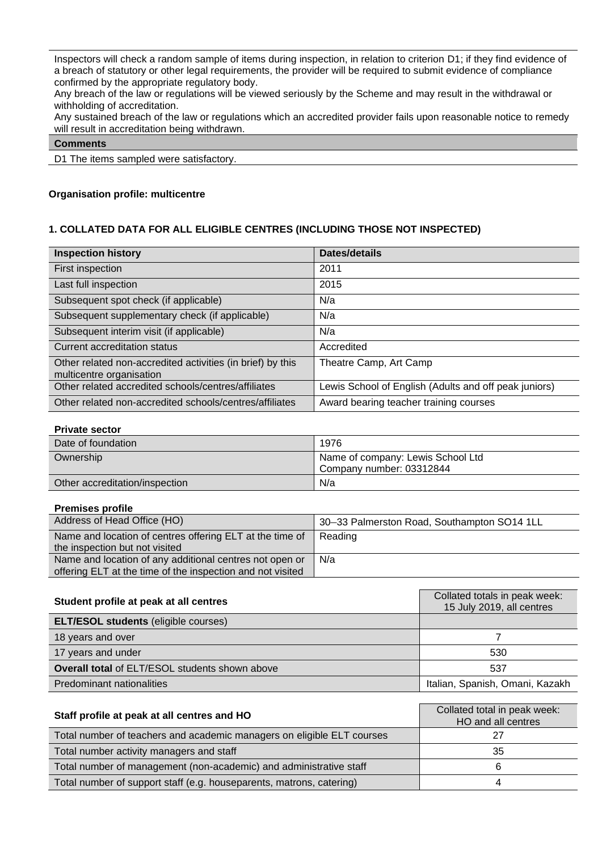Inspectors will check a random sample of items during inspection, in relation to criterion D1; if they find evidence of a breach of statutory or other legal requirements, the provider will be required to submit evidence of compliance confirmed by the appropriate regulatory body.

Any breach of the law or regulations will be viewed seriously by the Scheme and may result in the withdrawal or withholding of accreditation.

Any sustained breach of the law or regulations which an accredited provider fails upon reasonable notice to remedy will result in accreditation being withdrawn.

## **Comments**

D1 The items sampled were satisfactory.

## **Organisation profile: multicentre**

## **1. COLLATED DATA FOR ALL ELIGIBLE CENTRES (INCLUDING THOSE NOT INSPECTED)**

| <b>Inspection history</b>                                                              | Dates/details                                         |
|----------------------------------------------------------------------------------------|-------------------------------------------------------|
| First inspection                                                                       | 2011                                                  |
| Last full inspection                                                                   | 2015                                                  |
| Subsequent spot check (if applicable)                                                  | N/a                                                   |
| Subsequent supplementary check (if applicable)                                         | N/a                                                   |
| Subsequent interim visit (if applicable)                                               | N/a                                                   |
| Current accreditation status                                                           | Accredited                                            |
| Other related non-accredited activities (in brief) by this<br>multicentre organisation | Theatre Camp, Art Camp                                |
| Other related accredited schools/centres/affiliates                                    | Lewis School of English (Adults and off peak juniors) |
| Other related non-accredited schools/centres/affiliates                                | Award bearing teacher training courses                |

#### **Private sector**

| Date of foundation             | 1976                                                          |
|--------------------------------|---------------------------------------------------------------|
| Ownership                      | Name of company: Lewis School Ltd<br>Company number: 03312844 |
| Other accreditation/inspection | N/a                                                           |

#### **Premises profile**

| Address of Head Office (HO)                                | 30-33 Palmerston Road, Southampton SO14 1LL |
|------------------------------------------------------------|---------------------------------------------|
| Name and location of centres offering ELT at the time of   | l Reading                                   |
| the inspection but not visited                             |                                             |
| Name and location of any additional centres not open or    | N/a                                         |
| offering ELT at the time of the inspection and not visited |                                             |

| Student profile at peak at all centres                | Collated totals in peak week:<br>15 July 2019, all centres |  |  |  |  |  |
|-------------------------------------------------------|------------------------------------------------------------|--|--|--|--|--|
| <b>ELT/ESOL students (eligible courses)</b>           |                                                            |  |  |  |  |  |
| 18 years and over                                     |                                                            |  |  |  |  |  |
| 17 years and under                                    | 530                                                        |  |  |  |  |  |
| <b>Overall total of ELT/ESOL students shown above</b> | 537                                                        |  |  |  |  |  |
| Predominant nationalities                             | Italian, Spanish, Omani, Kazakh                            |  |  |  |  |  |

| Staff profile at peak at all centres and HO                            | Collated total in peak week:<br>HO and all centres |
|------------------------------------------------------------------------|----------------------------------------------------|
| Total number of teachers and academic managers on eligible ELT courses |                                                    |
| Total number activity managers and staff                               | 35                                                 |
| Total number of management (non-academic) and administrative staff     |                                                    |
| Total number of support staff (e.g. houseparents, matrons, catering)   |                                                    |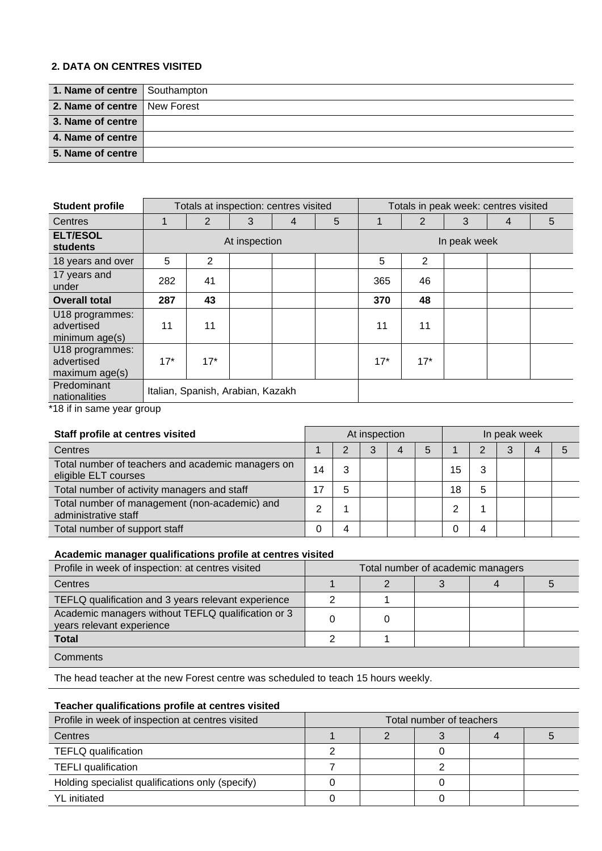## **2. DATA ON CENTRES VISITED**

| 1. Name of centre Southampton  |  |
|--------------------------------|--|
| 2. Name of centre   New Forest |  |
| 3. Name of centre              |  |
| 4. Name of centre              |  |
| 5. Name of centre              |  |

| <b>Student profile</b>                          |       | Totals at inspection: centres visited |               |   |   |              |       | Totals in peak week: centres visited |   |   |  |  |  |
|-------------------------------------------------|-------|---------------------------------------|---------------|---|---|--------------|-------|--------------------------------------|---|---|--|--|--|
| Centres                                         |       | 2                                     | 3             | 4 | 5 |              | 2     | 3                                    | 4 | 5 |  |  |  |
| <b>ELT/ESOL</b><br>students                     |       |                                       | At inspection |   |   | In peak week |       |                                      |   |   |  |  |  |
| 18 years and over                               | 5     | $\overline{2}$                        |               |   |   | 5            | 2     |                                      |   |   |  |  |  |
| 17 years and<br>under                           | 282   | 41                                    |               |   |   | 365          | 46    |                                      |   |   |  |  |  |
| <b>Overall total</b>                            | 287   | 43                                    |               |   |   | 370          | 48    |                                      |   |   |  |  |  |
| U18 programmes:<br>advertised<br>minimum age(s) | 11    | 11                                    |               |   |   | 11           | 11    |                                      |   |   |  |  |  |
| U18 programmes:<br>advertised<br>maximum age(s) | $17*$ | $17*$                                 |               |   |   | $17*$        | $17*$ |                                      |   |   |  |  |  |
| Predominant<br>nationalities<br>$+10.5$         |       | Italian, Spanish, Arabian, Kazakh     |               |   |   |              |       |                                      |   |   |  |  |  |

18 if in same year group

| Staff profile at centres visited                                          |    |   | At inspection |   | In peak week |    |   |   |  |  |
|---------------------------------------------------------------------------|----|---|---------------|---|--------------|----|---|---|--|--|
| Centres                                                                   |    | າ |               | 4 | 5            |    |   | 3 |  |  |
| Total number of teachers and academic managers on<br>eligible ELT courses | 14 | 3 |               |   |              | 15 | 3 |   |  |  |
| Total number of activity managers and staff                               | 17 | 5 |               |   |              | 18 | 5 |   |  |  |
| Total number of management (non-academic) and<br>administrative staff     | ⌒  |   |               |   |              |    |   |   |  |  |
| Total number of support staff                                             | 0  | 4 |               |   |              |    | 4 |   |  |  |

## **Academic manager qualifications profile at centres visited**

| Profile in week of inspection: at centres visited                               | Total number of academic managers |  |  |  |  |  |
|---------------------------------------------------------------------------------|-----------------------------------|--|--|--|--|--|
| Centres                                                                         |                                   |  |  |  |  |  |
| TEFLQ qualification and 3 years relevant experience                             |                                   |  |  |  |  |  |
| Academic managers without TEFLQ qualification or 3<br>years relevant experience |                                   |  |  |  |  |  |
| <b>Total</b>                                                                    |                                   |  |  |  |  |  |
| Comments                                                                        |                                   |  |  |  |  |  |

The head teacher at the new Forest centre was scheduled to teach 15 hours weekly.

# **Teacher qualifications profile at centres visited**

| Profile in week of inspection at centres visited | Total number of teachers |  |  |  |  |  |  |
|--------------------------------------------------|--------------------------|--|--|--|--|--|--|
| Centres                                          |                          |  |  |  |  |  |  |
| TEFLQ qualification                              |                          |  |  |  |  |  |  |
| <b>TEFLI</b> qualification                       |                          |  |  |  |  |  |  |
| Holding specialist qualifications only (specify) |                          |  |  |  |  |  |  |
| <b>YL</b> initiated                              |                          |  |  |  |  |  |  |